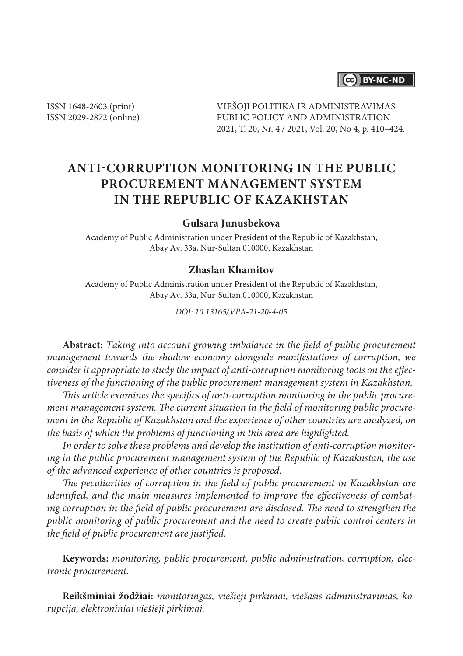## (cc) BY-NC-ND

ISSN 1648-2603 (print) ISSN 2029-2872 (online) VIEŠOJI POLITIKA IR ADMINISTRAVIMAS PUBLIC POLICY AND ADMINISTRATION 2021, T. 20, Nr. 4 / 2021, Vol. 20, No 4, p. 410–424.

# **ANTI-CORRUPTION MONITORING IN THE PUBLIC PROCUREMENT MANAGEMENT SYSTEM IN THE REPUBLIC OF KAZAKHSTAN**

### **Gulsara Junusbekova**

Academy of Public Administration under President of the Republic of Kazakhstan, Abay Av. 33a, Nur-Sultan 010000, Kazakhstan

### **Zhaslan Khamitov**

Academy of Public Administration under President of the Republic of Kazakhstan, Abay Av. 33a, Nur-Sultan 010000, Kazakhstan

*DOI: 10.13165/VPA-21-20-4-05*

**Abstract:** *Taking into account growing imbalance in the field of public procurement management towards the shadow economy alongside manifestations of corruption, we consider it appropriate to study the impact of anti-corruption monitoring tools on the effectiveness of the functioning of the public procurement management system in Kazakhstan.*

*This article examines the specifics of anti-corruption monitoring in the public procurement management system. The current situation in the field of monitoring public procurement in the Republic of Kazakhstan and the experience of other countries are analyzed, on the basis of which the problems of functioning in this area are highlighted.*

*In order to solve these problems and develop the institution of anti-corruption monitoring in the public procurement management system of the Republic of Kazakhstan, the use of the advanced experience of other countries is proposed.*

*The peculiarities of corruption in the field of public procurement in Kazakhstan are identified, and the main measures implemented to improve the effectiveness of combating corruption in the field of public procurement are disclosed. The need to strengthen the public monitoring of public procurement and the need to create public control centers in the field of public procurement are justified.*

**Keywords:** *monitoring, public procurement, public administration, corruption, electronic procurement.*

**Reikšminiai žodžiai:** *monitoringas, viešieji pirkimai, viešasis administravimas, korupcija, elektroniniai viešieji pirkimai.*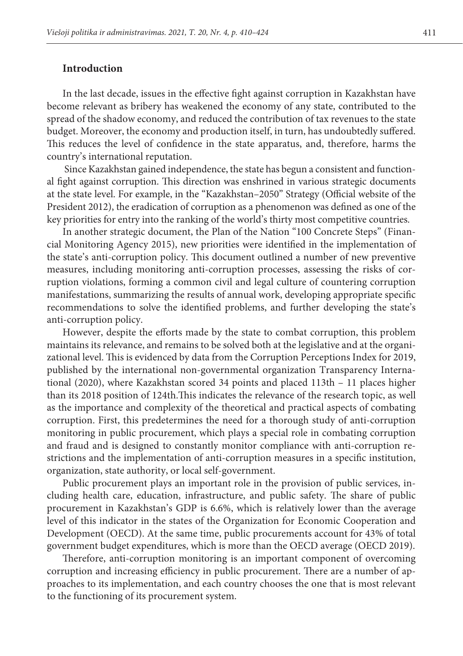### **Introduction**

In the last decade, issues in the effective fight against corruption in Kazakhstan have become relevant as bribery has weakened the economy of any state, contributed to the spread of the shadow economy, and reduced the contribution of tax revenues to the state budget. Moreover, the economy and production itself, in turn, has undoubtedly suffered. This reduces the level of confidence in the state apparatus, and, therefore, harms the country's international reputation.

 Since Kazakhstan gained independence, the state has begun a consistent and functional fight against corruption. This direction was enshrined in various strategic documents at the state level. For example, in the "Kazakhstan–2050" Strategy (Official website of the President 2012), the eradication of corruption as a phenomenon was defined as one of the key priorities for entry into the ranking of the world's thirty most competitive countries.

In another strategic document, the Plan of the Nation "100 Concrete Steps" (Financial Monitoring Agency 2015), new priorities were identified in the implementation of the state's anti-corruption policy. This document outlined a number of new preventive measures, including monitoring anti-corruption processes, assessing the risks of corruption violations, forming a common civil and legal culture of countering corruption manifestations, summarizing the results of annual work, developing appropriate specific recommendations to solve the identified problems, and further developing the state's anti-corruption policy.

However, despite the efforts made by the state to combat corruption, this problem maintains its relevance, and remains to be solved both at the legislative and at the organizational level. This is evidenced by data from the Corruption Perceptions Index for 2019, published by the international non-governmental organization Transparency International (2020), where Kazakhstan scored 34 points and placed 113th – 11 places higher than its 2018 position of 124th.This indicates the relevance of the research topic, as well as the importance and complexity of the theoretical and practical aspects of combating corruption. First, this predetermines the need for a thorough study of anti-corruption monitoring in public procurement, which plays a special role in combating corruption and fraud and is designed to constantly monitor compliance with anti-corruption restrictions and the implementation of anti-corruption measures in a specific institution, organization, state authority, or local self-government.

Public procurement plays an important role in the provision of public services, including health care, education, infrastructure, and public safety. The share of public procurement in Kazakhstan's GDP is 6.6%, which is relatively lower than the average level of this indicator in the states of the Organization for Economic Cooperation and Development (OECD). At the same time, public procurements account for 43% of total government budget expenditures, which is more than the OECD average (OECD 2019).

Therefore, anti-corruption monitoring is an important component of overcoming corruption and increasing efficiency in public procurement. There are a number of approaches to its implementation, and each country chooses the one that is most relevant to the functioning of its procurement system.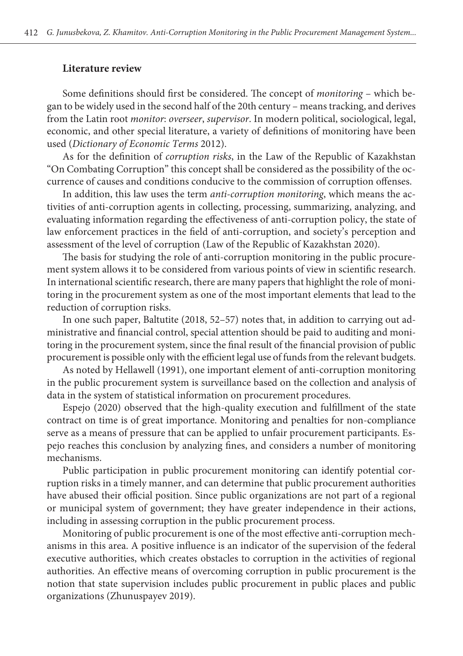### **Literature review**

Some definitions should first be considered. The concept of *monitoring* – which began to be widely used in the second half of the 20th century – means tracking, and derives from the Latin root *monitor*: *overseer*, *supervisor*. In modern political, sociological, legal, economic, and other special literature, a variety of definitions of monitoring have been used (*Dictionary of Economic Terms* 2012).

As for the definition of *corruption risks*, in the Law of the Republic of Kazakhstan "On Combating Corruption" this concept shall be considered as the possibility of the occurrence of causes and conditions conducive to the commission of corruption offenses.

In addition, this law uses the term *anti-corruption monitoring*, which means the activities of anti-corruption agents in collecting, processing, summarizing, analyzing, and evaluating information regarding the effectiveness of anti-corruption policy, the state of law enforcement practices in the field of anti-corruption, and society's perception and assessment of the level of corruption (Law of the Republic of Kazakhstan 2020).

The basis for studying the role of anti-corruption monitoring in the public procurement system allows it to be considered from various points of view in scientific research. In international scientific research, there are many papers that highlight the role of monitoring in the procurement system as one of the most important elements that lead to the reduction of corruption risks.

In one such paper, Baltutite (2018, 52–57) notes that, in addition to carrying out administrative and financial control, special attention should be paid to auditing and monitoring in the procurement system, since the final result of the financial provision of public procurement is possible only with the efficient legal use of funds from the relevant budgets.

As noted by Hellawell (1991), one important element of anti-corruption monitoring in the public procurement system is surveillance based on the collection and analysis of data in the system of statistical information on procurement procedures.

Espejo (2020) observed that the high-quality execution and fulfillment of the state contract on time is of great importance. Monitoring and penalties for non-compliance serve as a means of pressure that can be applied to unfair procurement participants. Espejo reaches this conclusion by analyzing fines, and considers a number of monitoring mechanisms.

Public participation in public procurement monitoring can identify potential corruption risks in a timely manner, and can determine that public procurement authorities have abused their official position. Since public organizations are not part of a regional or municipal system of government; they have greater independence in their actions, including in assessing corruption in the public procurement process.

Monitoring of public procurement is one of the most effective anti-corruption mechanisms in this area. A positive influence is an indicator of the supervision of the federal executive authorities, which creates obstacles to corruption in the activities of regional authorities. An effective means of overcoming corruption in public procurement is the notion that state supervision includes public procurement in public places and public organizations (Zhunuspayev 2019).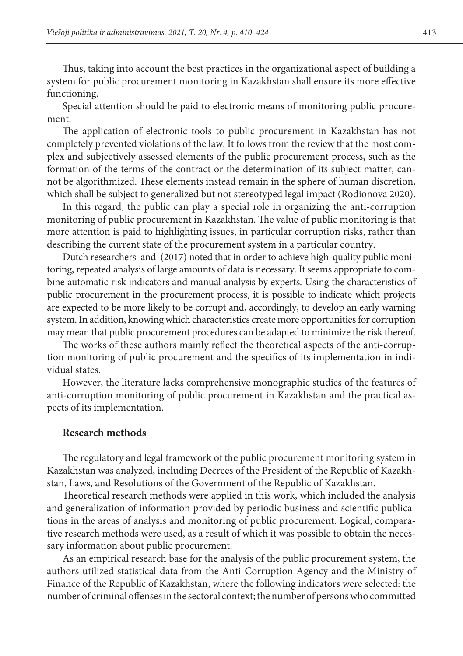Thus, taking into account the best practices in the organizational aspect of building a system for public procurement monitoring in Kazakhstan shall ensure its more effective functioning.

Special attention should be paid to electronic means of monitoring public procurement.

The application of electronic tools to public procurement in Kazakhstan has not completely prevented violations of the law. It follows from the review that the most complex and subjectively assessed elements of the public procurement process, such as the formation of the terms of the contract or the determination of its subject matter, cannot be algorithmized. These elements instead remain in the sphere of human discretion, which shall be subject to generalized but not stereotyped legal impact (Rodionova 2020).

In this regard, the public can play a special role in organizing the anti-corruption monitoring of public procurement in Kazakhstan. The value of public monitoring is that more attention is paid to highlighting issues, in particular corruption risks, rather than describing the current state of the procurement system in a particular country.

Dutch researchers and (2017) noted that in order to achieve high-quality public monitoring, repeated analysis of large amounts of data is necessary. It seems appropriate to combine automatic risk indicators and manual analysis by experts. Using the characteristics of public procurement in the procurement process, it is possible to indicate which projects are expected to be more likely to be corrupt and, accordingly, to develop an early warning system. In addition, knowing which characteristics create more opportunities for corruption may mean that public procurement procedures can be adapted to minimize the risk thereof.

The works of these authors mainly reflect the theoretical aspects of the anti-corruption monitoring of public procurement and the specifics of its implementation in individual states.

However, the literature lacks comprehensive monographic studies of the features of anti-corruption monitoring of public procurement in Kazakhstan and the practical aspects of its implementation.

#### **Research methods**

The regulatory and legal framework of the public procurement monitoring system in Kazakhstan was analyzed, including Decrees of the President of the Republic of Kazakhstan, Laws, and Resolutions of the Government of the Republic of Kazakhstan.

Theoretical research methods were applied in this work, which included the analysis and generalization of information provided by periodic business and scientific publications in the areas of analysis and monitoring of public procurement. Logical, comparative research methods were used, as a result of which it was possible to obtain the necessary information about public procurement.

As an empirical research base for the analysis of the public procurement system, the authors utilized statistical data from the Anti-Corruption Agency and the Ministry of Finance of the Republic of Kazakhstan, where the following indicators were selected: the number of criminal offenses in the sectoral context; the number of persons who committed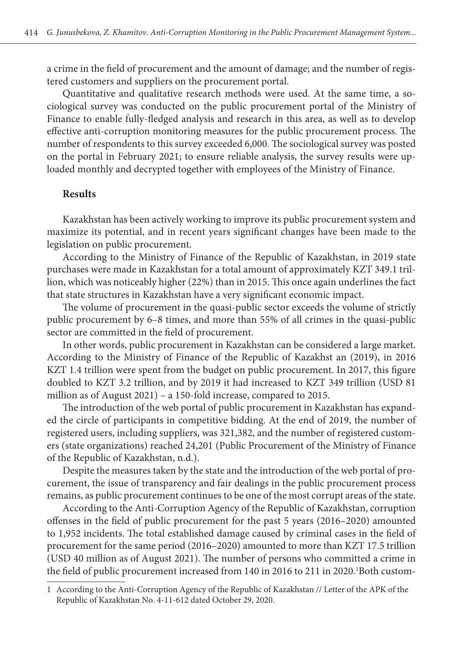a crime in the field of procurement and the amount of damage; and the number of registered customers and suppliers on the procurement portal.

Quantitative and qualitative research methods were used. At the same time, a sociological survey was conducted on the public procurement portal of the Ministry of Finance to enable fully-fledged analysis and research in this area, as well as to develop effective anti-corruption monitoring measures for the public procurement process. The number of respondents to this survey exceeded 6,000. The sociological survey was posted on the portal in February 2021; to ensure reliable analysis, the survey results were uploaded monthly and decrypted together with employees of the Ministry of Finance.

### **Results**

Kazakhstan has been actively working to improve its public procurement system and maximize its potential, and in recent years significant changes have been made to the legislation on public procurement.

According to the Ministry of Finance of the Republic of Kazakhstan, in 2019 state purchases were made in Kazakhstan for a total amount of approximately KZT 349.1 trillion, which was noticeably higher (22%) than in 2015. This once again underlines the fact that state structures in Kazakhstan have a very significant economic impact.

The volume of procurement in the quasi-public sector exceeds the volume of strictly public procurement by 6–8 times, and more than 55% of all crimes in the quasi-public sector are committed in the field of procurement.

In other words, public procurement in Kazakhstan can be considered a large market. According to the Ministry of Finance of the Republic of Kazakhst an (2019), in 2016 KZT 1.4 trillion were spent from the budget on public procurement. In 2017, this figure doubled to KZT 3.2 trillion, and by 2019 it had increased to KZT 349 trillion (USD 81 million as of August 2021) – a 150-fold increase, compared to 2015.

The introduction of the web portal of public procurement in Kazakhstan has expanded the circle of participants in competitive bidding. At the end of 2019, the number of registered users, including suppliers, was 321,382, and the number of registered customers (state organizations) reached 24,201 (Public Procurement of the Ministry of Finance of the Republic of Kazakhstan, n.d.).

Despite the measures taken by the state and the introduction of the web portal of procurement, the issue of transparency and fair dealings in the public procurement process remains, as public procurement continues to be one of the most corrupt areas of the state.

According to the Anti-Corruption Agency of the Republic of Kazakhstan, corruption offenses in the field of public procurement for the past 5 years (2016–2020) amounted to 1,952 incidents. The total established damage caused by criminal cases in the field of procurement for the same period (2016–2020) amounted to more than KZT 17.5 trillion (USD 40 million as of August 2021). The number of persons who committed a crime in the field of public procurement increased from 140 in 2016 to 211 in 2020.<sup>1</sup>Both custom-

<sup>1</sup> According to the Anti-Corruption Agency of the Republic of Kazakhstan // Letter of the APK of the Republic of Kazakhstan No. 4-11-612 dated October 29, 2020.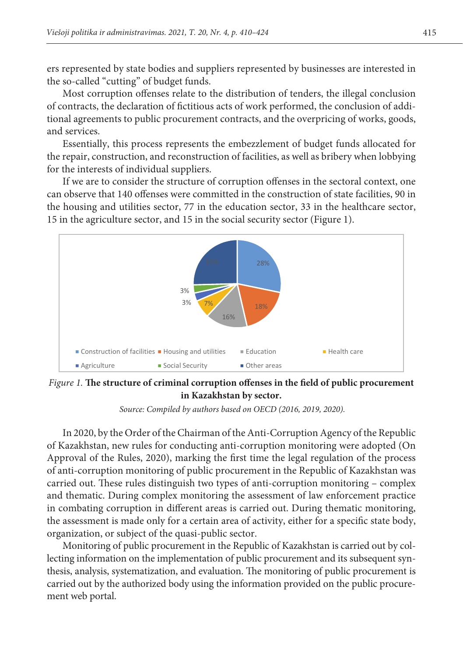ers represented by state bodies and suppliers represented by businesses are interested in<br>the distribution of the embedded funds allocated funds allocated for the embedded for the embedded for the emb the so-called "cutting" of budget funds.

Most corruption offenses relate to the distribution of tenders, the illegal conclusion of contracts, the declaration of fictitious acts of work performed, the conclusion of additional agreements to public procurement contracts, and the overpricing of works, goods,<br>and corriece and services.

Essentially, this process represents the embezzlement of budget funds allocated for the repair, construction, and reconstruction of facilities, as well as bribery when lobbying for the interests of individual suppliers.

If we are to consider the structure of corruption offenses in the sectoral context, one can observe that 140 offenses were committed in the construction of state facilities, 90 in the housing and utilities sector, 77 in the education sector, 33 in the healthcare sector, 15 in the healthcare sector, 15 in the agriculture sector, and 15 in the social security sector (Figure 1).



*Figure 1.* The structure of criminal corruption offenses in the field of public procurement **in Kazakhstan by sector.** 

 *Source: Compiled by authors based on OECD (2016, 2019, 2020).* In 2020, by the Order of the Chairman of the Anti-Corruption Agency of the Republic of Kazakhstan, new rules for conducting anti-corruption monitoring were adopted (On Approval of the Rules, 2020), marking the first time the legal regulation of the process of anti-corruption monitoring of public procurement in the Republic of Kazakhstan was carried out. These rules distinguish two types of anti-corruption monitoring – complex and thematic. During complex monitoring the assessment of law enforcement practice in combating corruption in different areas is carried out. During thematic monitoring, the assessment is made only for a certain area of activity, either for a specific state body,

organization, or subject of the quasi-public sector. Monitoring of public procurement in the Republic of Kazakhstan is carried out by collecting information on the implementation of public procurement and its subsequent synthesis, analysis, systematization, and evaluation. The monitoring of public procurement is carried out by the authorized body using the information provided on the public procurement web portal.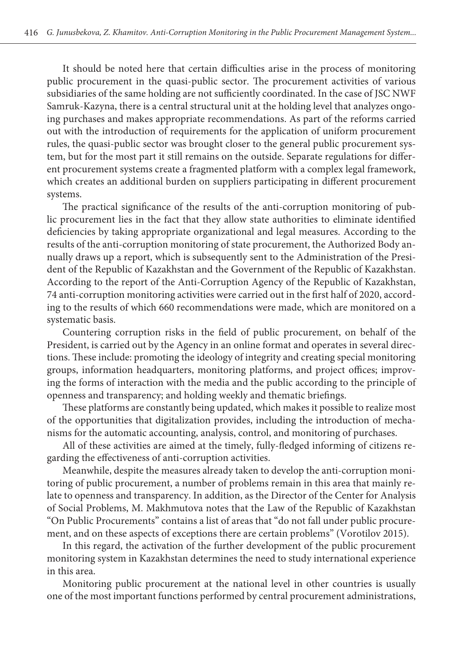It should be noted here that certain difficulties arise in the process of monitoring public procurement in the quasi-public sector. The procurement activities of various subsidiaries of the same holding are not sufficiently coordinated. In the case of JSC NWF Samruk-Kazyna, there is a central structural unit at the holding level that analyzes ongoing purchases and makes appropriate recommendations. As part of the reforms carried out with the introduction of requirements for the application of uniform procurement rules, the quasi-public sector was brought closer to the general public procurement system, but for the most part it still remains on the outside. Separate regulations for different procurement systems create a fragmented platform with a complex legal framework, which creates an additional burden on suppliers participating in different procurement systems.

The practical significance of the results of the anti-corruption monitoring of public procurement lies in the fact that they allow state authorities to eliminate identified deficiencies by taking appropriate organizational and legal measures. According to the results of the anti-corruption monitoring of state procurement, the Authorized Body annually draws up a report, which is subsequently sent to the Administration of the President of the Republic of Kazakhstan and the Government of the Republic of Kazakhstan. According to the report of the Anti-Corruption Agency of the Republic of Kazakhstan, 74 anti-corruption monitoring activities were carried out in the first half of 2020, according to the results of which 660 recommendations were made, which are monitored on a systematic basis.

Countering corruption risks in the field of public procurement, on behalf of the President, is carried out by the Agency in an online format and operates in several directions. These include: promoting the ideology of integrity and creating special monitoring groups, information headquarters, monitoring platforms, and project offices; improving the forms of interaction with the media and the public according to the principle of openness and transparency; and holding weekly and thematic briefings.

These platforms are constantly being updated, which makes it possible to realize most of the opportunities that digitalization provides, including the introduction of mechanisms for the automatic accounting, analysis, control, and monitoring of purchases.

All of these activities are aimed at the timely, fully-fledged informing of citizens regarding the effectiveness of anti-corruption activities.

Meanwhile, despite the measures already taken to develop the anti-corruption monitoring of public procurement, a number of problems remain in this area that mainly relate to openness and transparency. In addition, as the Director of the Center for Analysis of Social Problems, M. Makhmutova notes that the Law of the Republic of Kazakhstan "On Public Procurements" contains a list of areas that "do not fall under public procurement, and on these aspects of exceptions there are certain problems" (Vorotilov 2015).

In this regard, the activation of the further development of the public procurement monitoring system in Kazakhstan determines the need to study international experience in this area.

Monitoring public procurement at the national level in other countries is usually one of the most important functions performed by central procurement administrations,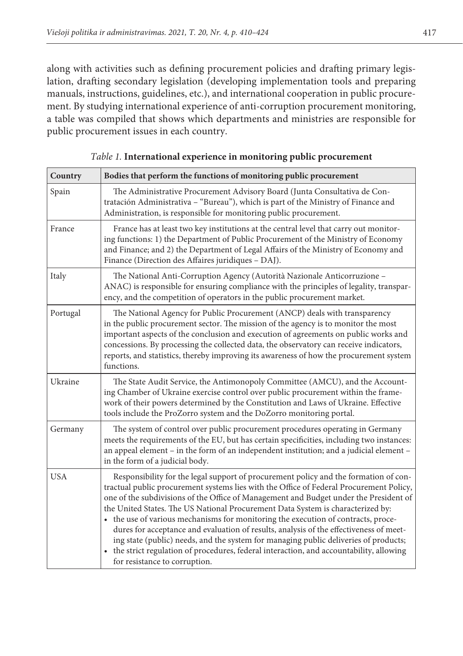along with activities such as defining procurement policies and drafting primary legislation, drafting secondary legislation (developing implementation tools and preparing manuals, instructions, guidelines, etc.), and international cooperation in public procurement. By studying international experience of anti-corruption procurement monitoring, a table was compiled that shows which departments and ministries are responsible for public procurement issues in each country.

| Country    | Bodies that perform the functions of monitoring public procurement                                                                                                                                                                                                                                                                                                                                                                                                                                                                                                                                                                                                                                                                                              |  |  |
|------------|-----------------------------------------------------------------------------------------------------------------------------------------------------------------------------------------------------------------------------------------------------------------------------------------------------------------------------------------------------------------------------------------------------------------------------------------------------------------------------------------------------------------------------------------------------------------------------------------------------------------------------------------------------------------------------------------------------------------------------------------------------------------|--|--|
| Spain      | The Administrative Procurement Advisory Board (Junta Consultativa de Con-<br>tratación Administrativa - "Bureau"), which is part of the Ministry of Finance and<br>Administration, is responsible for monitoring public procurement.                                                                                                                                                                                                                                                                                                                                                                                                                                                                                                                            |  |  |
| France     | France has at least two key institutions at the central level that carry out monitor-<br>ing functions: 1) the Department of Public Procurement of the Ministry of Economy<br>and Finance; and 2) the Department of Legal Affairs of the Ministry of Economy and<br>Finance (Direction des Affaires juridiques - DAJ).                                                                                                                                                                                                                                                                                                                                                                                                                                          |  |  |
| Italy      | The National Anti-Corruption Agency (Autorità Nazionale Anticorruzione -<br>ANAC) is responsible for ensuring compliance with the principles of legality, transpar-<br>ency, and the competition of operators in the public procurement market.                                                                                                                                                                                                                                                                                                                                                                                                                                                                                                                 |  |  |
| Portugal   | The National Agency for Public Procurement (ANCP) deals with transparency<br>in the public procurement sector. The mission of the agency is to monitor the most<br>important aspects of the conclusion and execution of agreements on public works and<br>concessions. By processing the collected data, the observatory can receive indicators,<br>reports, and statistics, thereby improving its awareness of how the procurement system<br>functions.                                                                                                                                                                                                                                                                                                        |  |  |
| Ukraine    | The State Audit Service, the Antimonopoly Committee (AMCU), and the Account-<br>ing Chamber of Ukraine exercise control over public procurement within the frame-<br>work of their powers determined by the Constitution and Laws of Ukraine. Effective<br>tools include the ProZorro system and the DoZorro monitoring portal.                                                                                                                                                                                                                                                                                                                                                                                                                                 |  |  |
| Germany    | The system of control over public procurement procedures operating in Germany<br>meets the requirements of the EU, but has certain specificities, including two instances:<br>an appeal element – in the form of an independent institution; and a judicial element –<br>in the form of a judicial body.                                                                                                                                                                                                                                                                                                                                                                                                                                                        |  |  |
| <b>USA</b> | Responsibility for the legal support of procurement policy and the formation of con-<br>tractual public procurement systems lies with the Office of Federal Procurement Policy,<br>one of the subdivisions of the Office of Management and Budget under the President of<br>the United States. The US National Procurement Data System is characterized by:<br>• the use of various mechanisms for monitoring the execution of contracts, proce-<br>dures for acceptance and evaluation of results, analysis of the effectiveness of meet-<br>ing state (public) needs, and the system for managing public deliveries of products;<br>• the strict regulation of procedures, federal interaction, and accountability, allowing<br>for resistance to corruption. |  |  |

*Table 1.* **International experience in monitoring public procurement**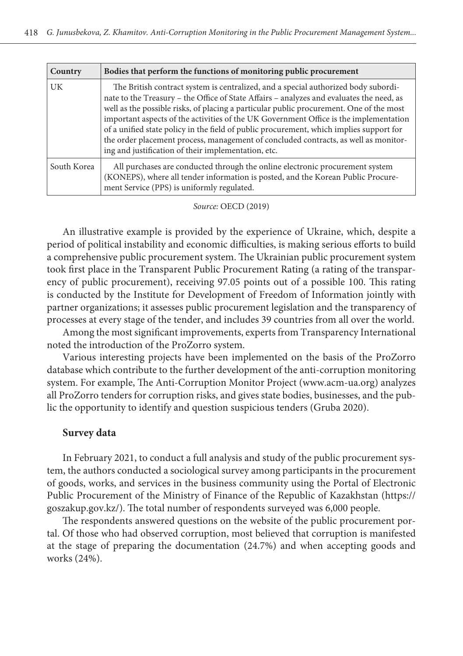| Country     | Bodies that perform the functions of monitoring public procurement                                                                                                                                                                                                                                                                                                                                                                                                                                                                                                                                          |  |
|-------------|-------------------------------------------------------------------------------------------------------------------------------------------------------------------------------------------------------------------------------------------------------------------------------------------------------------------------------------------------------------------------------------------------------------------------------------------------------------------------------------------------------------------------------------------------------------------------------------------------------------|--|
| <b>UK</b>   | The British contract system is centralized, and a special authorized body subordi-<br>nate to the Treasury – the Office of State Affairs – analyzes and evaluates the need, as<br>well as the possible risks, of placing a particular public procurement. One of the most<br>important aspects of the activities of the UK Government Office is the implementation<br>of a unified state policy in the field of public procurement, which implies support for<br>the order placement process, management of concluded contracts, as well as monitor-<br>ing and justification of their implementation, etc. |  |
| South Korea | All purchases are conducted through the online electronic procurement system<br>(KONEPS), where all tender information is posted, and the Korean Public Procure-<br>ment Service (PPS) is uniformly regulated.                                                                                                                                                                                                                                                                                                                                                                                              |  |

|  | Source: OECD (2019) |  |
|--|---------------------|--|
|--|---------------------|--|

An illustrative example is provided by the experience of Ukraine, which, despite a period of political instability and economic difficulties, is making serious efforts to build a comprehensive public procurement system. The Ukrainian public procurement system took first place in the Transparent Public Procurement Rating (a rating of the transparency of public procurement), receiving 97.05 points out of a possible 100. This rating is conducted by the Institute for Development of Freedom of Information jointly with partner organizations; it assesses public procurement legislation and the transparency of processes at every stage of the tender, and includes 39 countries from all over the world.

Among the most significant improvements, experts from Transparency International noted the introduction of the ProZorro system.

Various interesting projects have been implemented on the basis of the ProZorro database which contribute to the further development of the anti-corruption monitoring system. For example, The Anti-Corruption Monitor Project (www.acm-ua.org) analyzes all ProZorro tenders for corruption risks, and gives state bodies, businesses, and the public the opportunity to identify and question suspicious tenders (Gruba 2020).

#### **Survey data**

In February 2021, to conduct a full analysis and study of the public procurement system, the authors conducted a sociological survey among participants in the procurement of goods, works, and services in the business community using the Portal of Electronic Public Procurement of the Ministry of Finance of the Republic of Kazakhstan (https:// goszakup.gov.kz/). The total number of respondents surveyed was 6,000 people.

The respondents answered questions on the website of the public procurement portal. Of those who had observed corruption, most believed that corruption is manifested at the stage of preparing the documentation (24.7%) and when accepting goods and works (24%).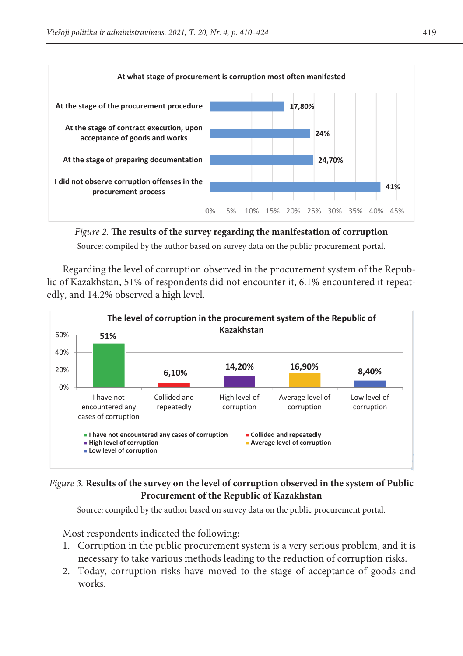

*Source: compiled by the author based on survey data on the public procurement portal. Figure 2.* **The results of the survey regarding the manifestation of corruption** Source: compiled by the author based on survey data on the public procurement portal.

Regarding the level of corruption observed in the procurement system of the Repubobserved a high level. edly, and 14.2% observed a high level. lic of Kazakhstan, 51% of respondents did not encounter it, 6.1% encountered it repeat-



## Figure 3. Results of the survey on the level of corruption observed in the system of Public Procurement of the Republic of Kazakhstan

Source: compiled by the author based on survey data on the public procurement portal.

Most respondents indicated the following:

- 1. Corruption in the public procurement system is a very serious problem, and it is necessary to take various methods leading to the reduction of corruption risks.
- 2. Today, corruption risks have moved to the stage of acceptance of goods and works.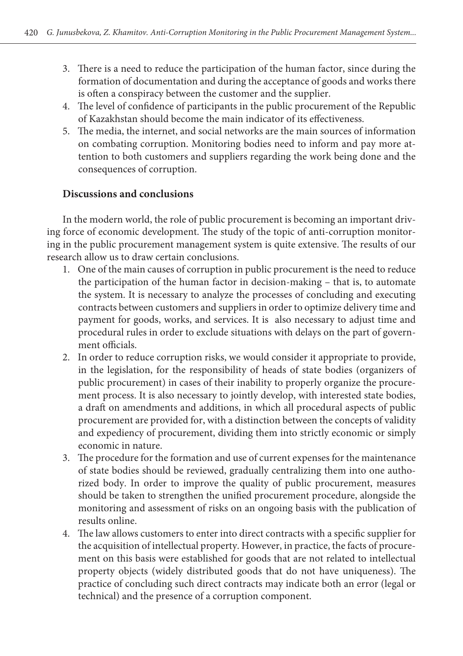- 3. There is a need to reduce the participation of the human factor, since during the formation of documentation and during the acceptance of goods and works there is often a conspiracy between the customer and the supplier.
- 4. The level of confidence of participants in the public procurement of the Republic of Kazakhstan should become the main indicator of its effectiveness.
- 5. The media, the internet, and social networks are the main sources of information on combating corruption. Monitoring bodies need to inform and pay more attention to both customers and suppliers regarding the work being done and the consequences of corruption.

## **Discussions and conclusions**

In the modern world, the role of public procurement is becoming an important driving force of economic development. The study of the topic of anti-corruption monitoring in the public procurement management system is quite extensive. The results of our research allow us to draw certain conclusions.

- 1. One of the main causes of corruption in public procurement is the need to reduce the participation of the human factor in decision-making – that is, to automate the system. It is necessary to analyze the processes of concluding and executing contracts between customers and suppliers in order to optimize delivery time and payment for goods, works, and services. It is also necessary to adjust time and procedural rules in order to exclude situations with delays on the part of government officials.
- 2. In order to reduce corruption risks, we would consider it appropriate to provide, in the legislation, for the responsibility of heads of state bodies (organizers of public procurement) in cases of their inability to properly organize the procurement process. It is also necessary to jointly develop, with interested state bodies, a draft on amendments and additions, in which all procedural aspects of public procurement are provided for, with a distinction between the concepts of validity and expediency of procurement, dividing them into strictly economic or simply economic in nature.
- 3. The procedure for the formation and use of current expenses for the maintenance of state bodies should be reviewed, gradually centralizing them into one authorized body. In order to improve the quality of public procurement, measures should be taken to strengthen the unified procurement procedure, alongside the monitoring and assessment of risks on an ongoing basis with the publication of results online.
- 4. The law allows customers to enter into direct contracts with a specific supplier for the acquisition of intellectual property. However, in practice, the facts of procurement on this basis were established for goods that are not related to intellectual property objects (widely distributed goods that do not have uniqueness). The practice of concluding such direct contracts may indicate both an error (legal or technical) and the presence of a corruption component.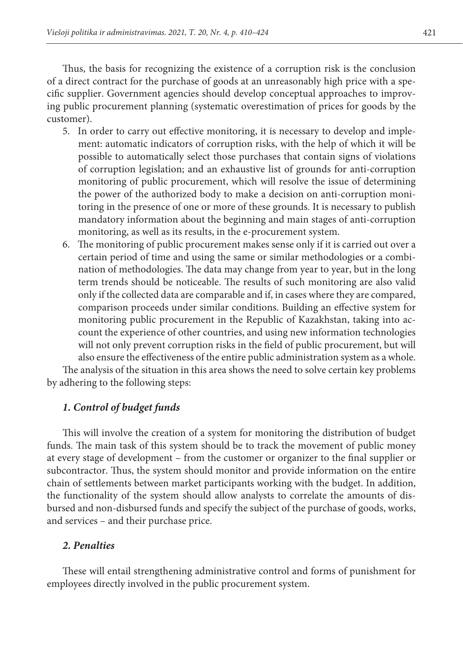Thus, the basis for recognizing the existence of a corruption risk is the conclusion of a direct contract for the purchase of goods at an unreasonably high price with a specific supplier. Government agencies should develop conceptual approaches to improving public procurement planning (systematic overestimation of prices for goods by the customer).

- 5. In order to carry out effective monitoring, it is necessary to develop and implement: automatic indicators of corruption risks, with the help of which it will be possible to automatically select those purchases that contain signs of violations of corruption legislation; and an exhaustive list of grounds for anti-corruption monitoring of public procurement, which will resolve the issue of determining the power of the authorized body to make a decision on anti-corruption monitoring in the presence of one or more of these grounds. It is necessary to publish mandatory information about the beginning and main stages of anti-corruption monitoring, as well as its results, in the e-procurement system.
- 6. The monitoring of public procurement makes sense only if it is carried out over a certain period of time and using the same or similar methodologies or a combination of methodologies. The data may change from year to year, but in the long term trends should be noticeable. The results of such monitoring are also valid only if the collected data are comparable and if, in cases where they are compared, comparison proceeds under similar conditions. Building an effective system for monitoring public procurement in the Republic of Kazakhstan, taking into account the experience of other countries, and using new information technologies will not only prevent corruption risks in the field of public procurement, but will also ensure the effectiveness of the entire public administration system as a whole.

The analysis of the situation in this area shows the need to solve certain key problems by adhering to the following steps:

## *1. Control of budget funds*

This will involve the creation of a system for monitoring the distribution of budget funds. The main task of this system should be to track the movement of public money at every stage of development – from the customer or organizer to the final supplier or subcontractor. Thus, the system should monitor and provide information on the entire chain of settlements between market participants working with the budget. In addition, the functionality of the system should allow analysts to correlate the amounts of disbursed and non-disbursed funds and specify the subject of the purchase of goods, works, and services – and their purchase price.

## *2. Penalties*

These will entail strengthening administrative control and forms of punishment for employees directly involved in the public procurement system.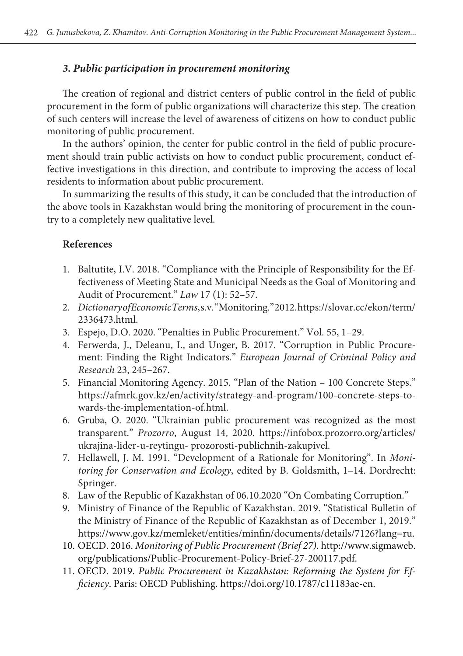### *3. Public participation in procurement monitoring*

The creation of regional and district centers of public control in the field of public procurement in the form of public organizations will characterize this step. The creation of such centers will increase the level of awareness of citizens on how to conduct public monitoring of public procurement.

In the authors' opinion, the center for public control in the field of public procurement should train public activists on how to conduct public procurement, conduct effective investigations in this direction, and contribute to improving the access of local residents to information about public procurement.

In summarizing the results of this study, it can be concluded that the introduction of the above tools in Kazakhstan would bring the monitoring of procurement in the country to a completely new qualitative level.

## **References**

- 1. Baltutite, I.V. 2018. "Compliance with the Principle of Responsibility for the Effectiveness of Meeting State and Municipal Needs as the Goal of Monitoring and Audit of Procurement." *Law* 17 (1): 52–57.
- 2. *Dictionary of Economic Terms*, s.v. "Monitoring." 2012. https://slovar.cc/ekon/term/ 2336473.html.
- 3. Espejo, D.O. 2020. "Penalties in Public Procurement." Vol. 55, 1–29.
- 4. Ferwerda, J., Deleanu, I., and Unger, B. 2017. "Corruption in Public Procurement: Finding the Right Indicators." *European Journal of Criminal Policy and Research* 23, 245–267.
- 5. Financial Monitoring Agency. 2015. "Plan of the Nation 100 Concrete Steps." https://afmrk.gov.kz/en/activity/strategy-and-program/100-concrete-steps-towards-the-implementation-of.html.
- 6. Gruba, O. 2020. "Ukrainian public procurement was recognized as the most transparent." *Prozorro*, August 14, 2020. https://infobox.prozorro.org/articles/ ukrajina-lider-u-reytingu- prozorosti-publichnih-zakupivel.
- 7. Hellawell, J. M. 1991. "Development of a Rationale for Monitoring". In *Monitoring for Conservation and Ecology*, edited by B. Goldsmith, 1–14. Dordrecht: Springer.
- 8. Law of the Republic of Kazakhstan of 06.10.2020 "On Combating Corruption."
- 9. Ministry of Finance of the Republic of Kazakhstan. 2019. "Statistical Bulletin of the Ministry of Finance of the Republic of Kazakhstan as of December 1, 2019." https://www.gov.kz/memleket/entities/minfin/documents/details/7126?lang=ru.
- 10. OECD. 2016. *Monitoring of Public Procurement (Brief 27)*. http://www.sigmaweb. org/publications/Public-Procurement-Policy-Brief-27-200117.pdf.
- 11. OECD. 2019. *Public Procurement in Kazakhstan: Reforming the System for Efficiency*. Paris: OECD Publishing. https://doi.org/10.1787/c11183ae-en.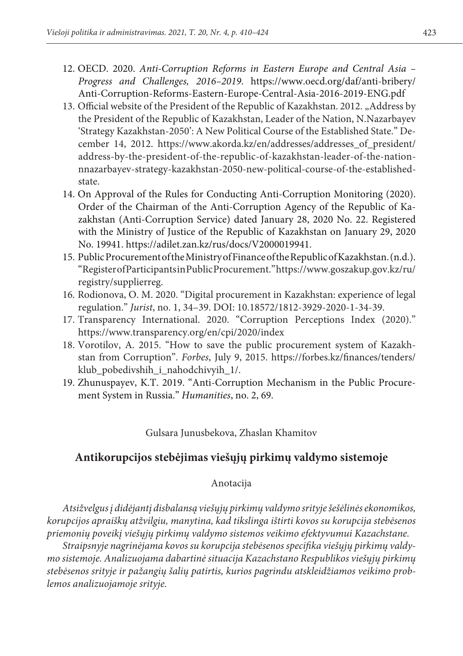- 12. OECD. 2020. *Anti-Corruption Reforms in Eastern Europe and Central Asia Progress and Challenges, 2016–2019*. https://www.oecd.org/daf/anti-bribery/ Anti-Corruption-Reforms-Eastern-Europe-Central-Asia-2016-2019-ENG.pdf
- 13. Official website of the President of the Republic of Kazakhstan. 2012. "Address by the President of the Republic of Kazakhstan, Leader of the Nation, N.Nazarbayev 'Strategy Kazakhstan-2050': A New Political Course of the Established State." December 14, 2012. https://www.akorda.kz/en/addresses/addresses\_of\_president/ address-by-the-president-of-the-republic-of-kazakhstan-leader-of-the-nationnnazarbayev-strategy-kazakhstan-2050-new-political-course-of-the-establishedstate.
- 14. On Approval of the Rules for Conducting Anti-Corruption Monitoring (2020). Order of the Chairman of the Anti-Corruption Agency of the Republic of Kazakhstan (Anti-Corruption Service) dated January 28, 2020 No. 22. Registered with the Ministry of Justice of the Republic of Kazakhstan on January 29, 2020 No. 19941. https://adilet.zan.kz/rus/docs/V2000019941.
- 15. Public Procurement of the Ministry of Finance of the Republic of Kazakhstan. (n.d.). "Register of Participants in Public Procurement." https://www.goszakup.gov.kz/ru/ registry/supplierreg.
- 16. Rodionova, O. M. 2020. "Digital procurement in Kazakhstan: experience of legal regulation." *Jurist*, no. 1, 34–39. DOI: 10.18572/1812-3929-2020-1-34-39.
- 17. Transparency International. 2020. "Corruption Perceptions Index (2020)." https://www.transparency.org/en/cpi/2020/index
- 18. Vorotilov, A. 2015. "How to save the public procurement system of Kazakhstan from Corruption". *Forbes*, July 9, 2015. https://forbes.kz/finances/tenders/ klub\_pobedivshih\_i\_nahodchivyih\_1/.
- 19. Zhunuspayev, K.T. 2019. "Anti-Corruption Mechanism in the Public Procurement System in Russia." *Humanities*, no. 2, 69.

Gulsara Junusbekova, Zhaslan Khamitov

## **Antikorupcijos stebėjimas viešųjų pirkimų valdymo sistemoje**

## Anotacija

*Atsižvelgus į didėjantį disbalansą viešųjų pirkimų valdymo srityje šešėlinės ekonomikos, korupcijos apraiškų atžvilgiu, manytina, kad tikslinga ištirti kovos su korupcija stebėsenos priemonių poveikį viešųjų pirkimų valdymo sistemos veikimo efektyvumui Kazachstane.*

*Straipsnyje nagrinėjama kovos su korupcija stebėsenos specifika viešųjų pirkimų valdymo sistemoje. Analizuojama dabartinė situacija Kazachstano Respublikos viešųjų pirkimų stebėsenos srityje ir pažangių šalių patirtis, kurios pagrindu atskleidžiamos veikimo problemos analizuojamoje srityje.*